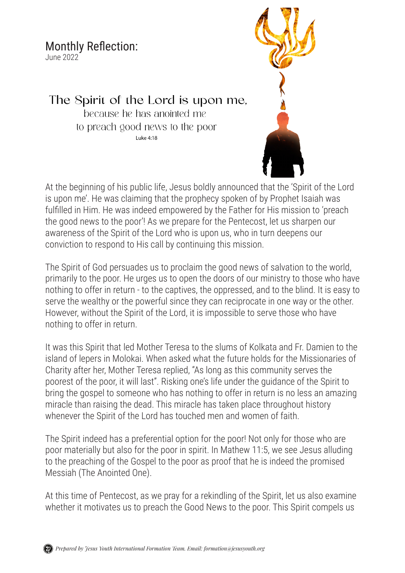## Monthly Reflection:

June 2022

The Spirit of the Lord is upon me, because he has anointed me to preach good news to the poor

Luke 4:18

At the beginning of his public life, Jesus boldly announced that the 'Spirit of the Lord is upon me'. He was claiming that the prophecy spoken of by Prophet Isaiah was fulfilled in Him. He was indeed empowered by the Father for His mission to 'preach the good news to the poor'! As we prepare for the Pentecost, let us sharpen our awareness of the Spirit of the Lord who is upon us, who in turn deepens our conviction to respond to His call by continuing this mission.

The Spirit of God persuades us to proclaim the good news of salvation to the world, primarily to the poor. He urges us to open the doors of our ministry to those who have nothing to offer in return - to the captives, the oppressed, and to the blind. It is easy to serve the wealthy or the powerful since they can reciprocate in one way or the other. However, without the Spirit of the Lord, it is impossible to serve those who have nothing to offer in return.

It was this Spirit that led Mother Teresa to the slums of Kolkata and Fr. Damien to the island of lepers in Molokai. When asked what the future holds for the Missionaries of Charity after her, Mother Teresa replied, "As long as this community serves the poorest of the poor, it will last". Risking one's life under the guidance of the Spirit to bring the gospel to someone who has nothing to offer in return is no less an amazing miracle than raising the dead. This miracle has taken place throughout history whenever the Spirit of the Lord has touched men and women of faith.

The Spirit indeed has a preferential option for the poor! Not only for those who are poor materially but also for the poor in spirit. In Mathew 11:5, we see Jesus alluding to the preaching of the Gospel to the poor as proof that he is indeed the promised Messiah (The Anointed One).

At this time of Pentecost, as we pray for a rekindling of the Spirit, let us also examine whether it motivates us to preach the Good News to the poor. This Spirit compels us